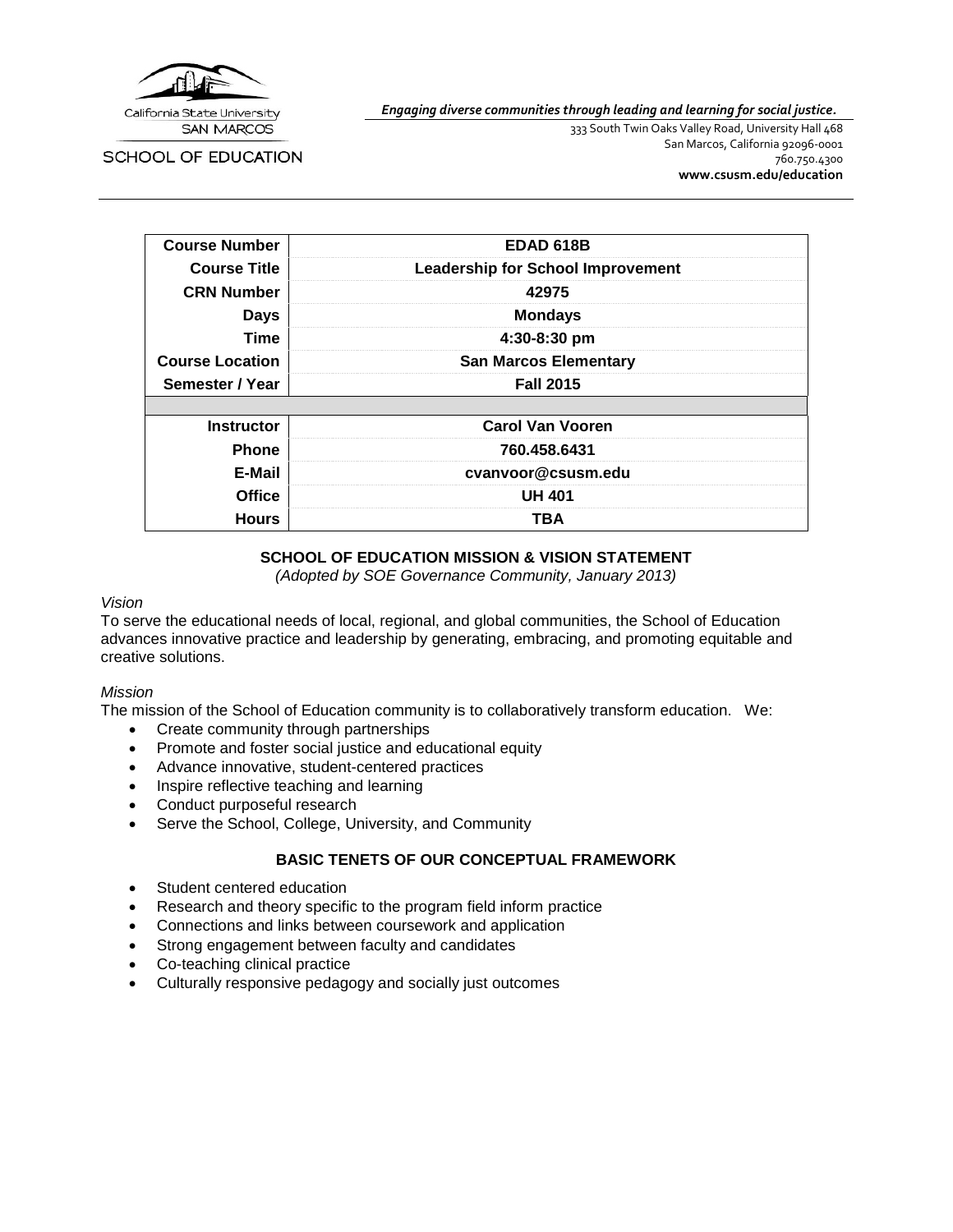

*Engaging diverse communities through leading and learning for social justice.*

SCHOOL OF EDUCATION

333 South Twin Oaks Valley Road, University Hall 468 San Marcos, California 92096-0001 760.750.4300 **[www.csusm.edu/education](http://www.csusm.edu/education)**

| <b>Course Number</b>   | <b>EDAD 618B</b>                         |
|------------------------|------------------------------------------|
| <b>Course Title</b>    | <b>Leadership for School Improvement</b> |
| <b>CRN Number</b>      | 42975                                    |
| <b>Days</b>            | <b>Mondays</b>                           |
| <b>Time</b>            | 4:30-8:30 pm                             |
| <b>Course Location</b> | <b>San Marcos Elementary</b>             |
| Semester / Year        | <b>Fall 2015</b>                         |
|                        |                                          |
| <b>Instructor</b>      | <b>Carol Van Vooren</b>                  |
| <b>Phone</b>           | 760.458.6431                             |
| E-Mail                 | cvanvoor@csusm.edu                       |
| <b>Office</b>          | <b>UH 401</b>                            |
| <b>Hours</b>           | TBA                                      |

### **SCHOOL OF EDUCATION MISSION & VISION STATEMENT**

*(Adopted by SOE Governance Community, January 2013)*

#### *Vision*

To serve the educational needs of local, regional, and global communities, the School of Education advances innovative practice and leadership by generating, embracing, and promoting equitable and creative solutions.

#### *Mission*

The mission of the School of Education community is to collaboratively transform education. We:

- Create community through partnerships
- Promote and foster social justice and educational equity
- Advance innovative, student-centered practices
- Inspire reflective teaching and learning
- Conduct purposeful research
- Serve the School, College, University, and Community

### **BASIC TENETS OF OUR CONCEPTUAL FRAMEWORK**

- Student centered education
- Research and theory specific to the program field inform practice
- Connections and links between coursework and application
- Strong engagement between faculty and candidates
- Co-teaching clinical practice
- Culturally responsive pedagogy and socially just outcomes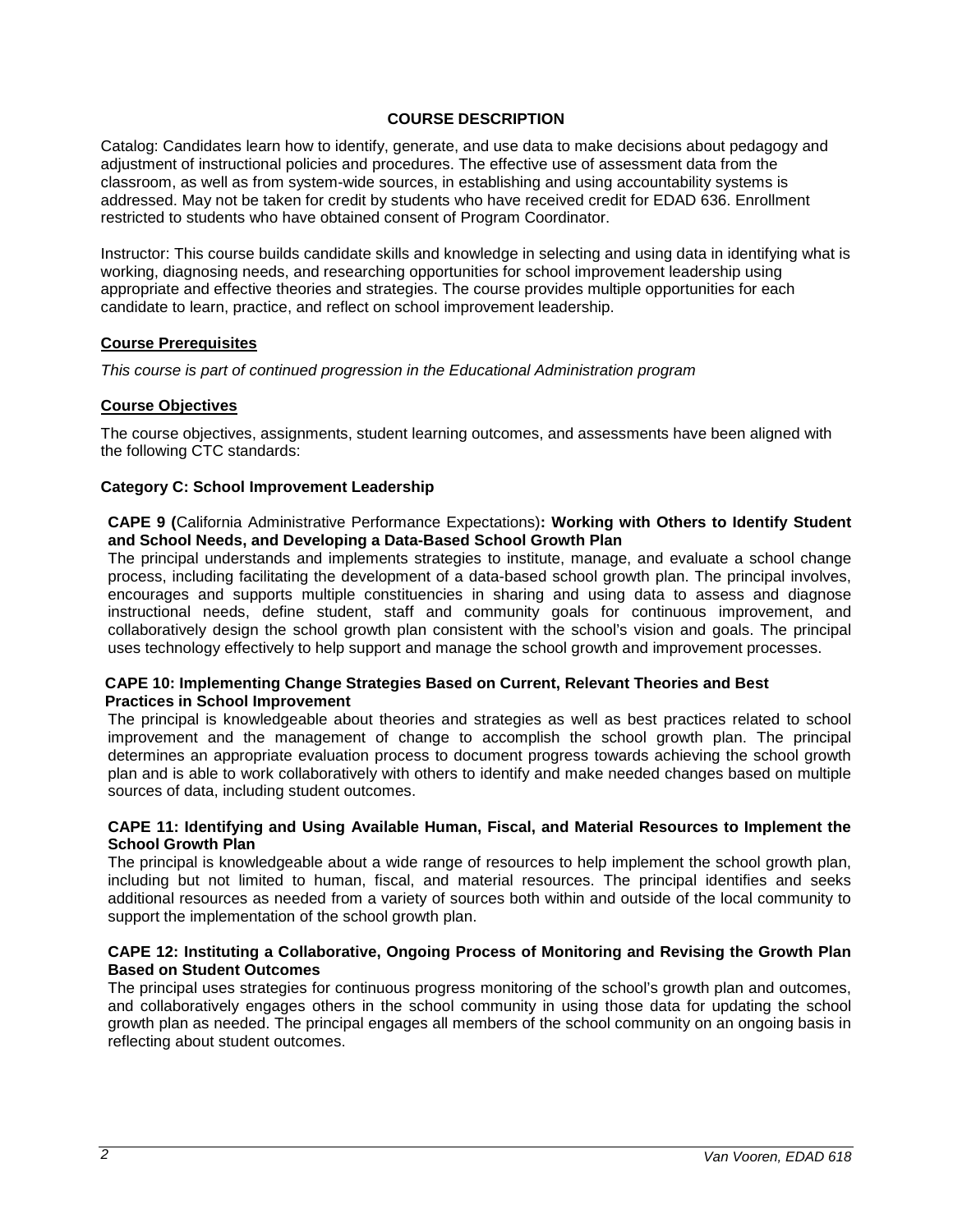#### **COURSE DESCRIPTION**

Catalog: Candidates learn how to identify, generate, and use data to make decisions about pedagogy and adjustment of instructional policies and procedures. The effective use of assessment data from the classroom, as well as from system-wide sources, in establishing and using accountability systems is addressed. May not be taken for credit by students who have received credit for EDAD 636. Enrollment restricted to students who have obtained consent of Program Coordinator.

Instructor: This course builds candidate skills and knowledge in selecting and using data in identifying what is working, diagnosing needs, and researching opportunities for school improvement leadership using appropriate and effective theories and strategies. The course provides multiple opportunities for each candidate to learn, practice, and reflect on school improvement leadership.

#### **Course Prerequisites**

*This course is part of continued progression in the Educational Administration program*

#### **Course Objectives**

The course objectives, assignments, student learning outcomes, and assessments have been aligned with the following CTC standards:

#### **Category C: School Improvement Leadership**

#### **CAPE 9 (**California Administrative Performance Expectations)**: Working with Others to Identify Student and School Needs, and Developing a Data-Based School Growth Plan**

The principal understands and implements strategies to institute, manage, and evaluate a school change process, including facilitating the development of a data-based school growth plan. The principal involves, encourages and supports multiple constituencies in sharing and using data to assess and diagnose instructional needs, define student, staff and community goals for continuous improvement, and collaboratively design the school growth plan consistent with the school's vision and goals. The principal uses technology effectively to help support and manage the school growth and improvement processes.

#### **CAPE 10: Implementing Change Strategies Based on Current, Relevant Theories and Best Practices in School Improvement**

The principal is knowledgeable about theories and strategies as well as best practices related to school improvement and the management of change to accomplish the school growth plan. The principal determines an appropriate evaluation process to document progress towards achieving the school growth plan and is able to work collaboratively with others to identify and make needed changes based on multiple sources of data, including student outcomes.

#### **CAPE 11: Identifying and Using Available Human, Fiscal, and Material Resources to Implement the School Growth Plan**

The principal is knowledgeable about a wide range of resources to help implement the school growth plan, including but not limited to human, fiscal, and material resources. The principal identifies and seeks additional resources as needed from a variety of sources both within and outside of the local community to support the implementation of the school growth plan.

#### **CAPE 12: Instituting a Collaborative, Ongoing Process of Monitoring and Revising the Growth Plan Based on Student Outcomes**

The principal uses strategies for continuous progress monitoring of the school's growth plan and outcomes, and collaboratively engages others in the school community in using those data for updating the school growth plan as needed. The principal engages all members of the school community on an ongoing basis in reflecting about student outcomes.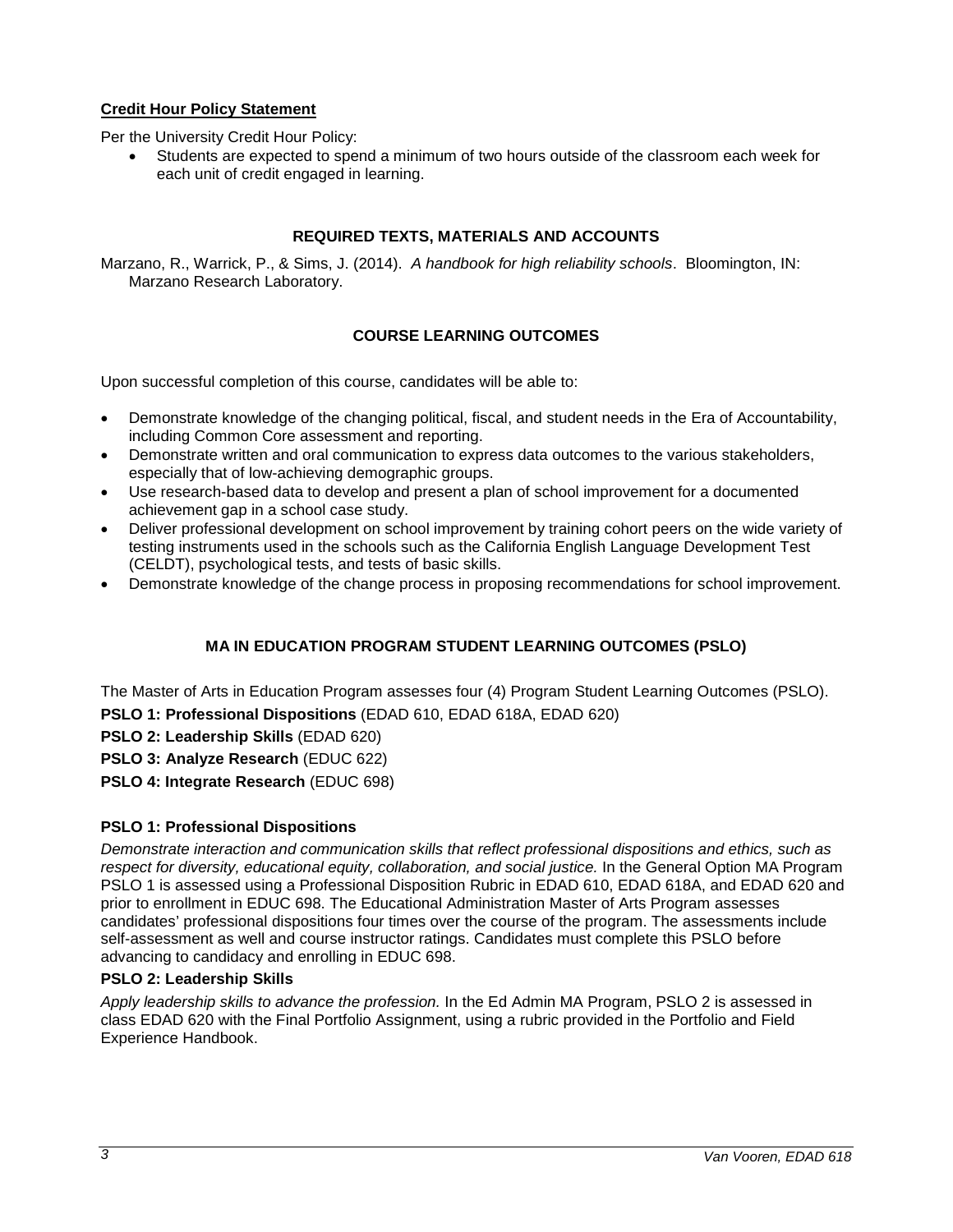# **Credit Hour Policy Statement**

Per the University Credit Hour Policy:

• Students are expected to spend a minimum of two hours outside of the classroom each week for each unit of credit engaged in learning.

#### **REQUIRED TEXTS, MATERIALS AND ACCOUNTS**

Marzano, R., Warrick, P., & Sims, J. (2014). *A handbook for high reliability schools*. Bloomington, IN: Marzano Research Laboratory.

### **COURSE LEARNING OUTCOMES**

Upon successful completion of this course, candidates will be able to:

- Demonstrate knowledge of the changing political, fiscal, and student needs in the Era of Accountability, including Common Core assessment and reporting.
- Demonstrate written and oral communication to express data outcomes to the various stakeholders, especially that of low-achieving demographic groups.
- Use research-based data to develop and present a plan of school improvement for a documented achievement gap in a school case study.
- Deliver professional development on school improvement by training cohort peers on the wide variety of testing instruments used in the schools such as the California English Language Development Test (CELDT), psychological tests, and tests of basic skills.
- Demonstrate knowledge of the change process in proposing recommendations for school improvement.

# **MA IN EDUCATION PROGRAM STUDENT LEARNING OUTCOMES (PSLO)**

The Master of Arts in Education Program assesses four (4) Program Student Learning Outcomes (PSLO). **PSLO 1: Professional Dispositions** (EDAD 610, EDAD 618A, EDAD 620)

**PSLO 2: Leadership Skills** (EDAD 620)

**PSLO 3: Analyze Research** (EDUC 622)

**PSLO 4: Integrate Research** (EDUC 698)

### **PSLO 1: Professional Dispositions**

*Demonstrate interaction and communication skills that reflect professional dispositions and ethics, such as respect for diversity, educational equity, collaboration, and social justice.* In the General Option MA Program PSLO 1 is assessed using a Professional Disposition Rubric in EDAD 610, EDAD 618A, and EDAD 620 and prior to enrollment in EDUC 698. The Educational Administration Master of Arts Program assesses candidates' professional dispositions four times over the course of the program. The assessments include self-assessment as well and course instructor ratings. Candidates must complete this PSLO before advancing to candidacy and enrolling in EDUC 698.

#### **PSLO 2: Leadership Skills**

*Apply leadership skills to advance the profession.* In the Ed Admin MA Program, PSLO 2 is assessed in class EDAD 620 with the Final Portfolio Assignment, using a rubric provided in the Portfolio and Field Experience Handbook.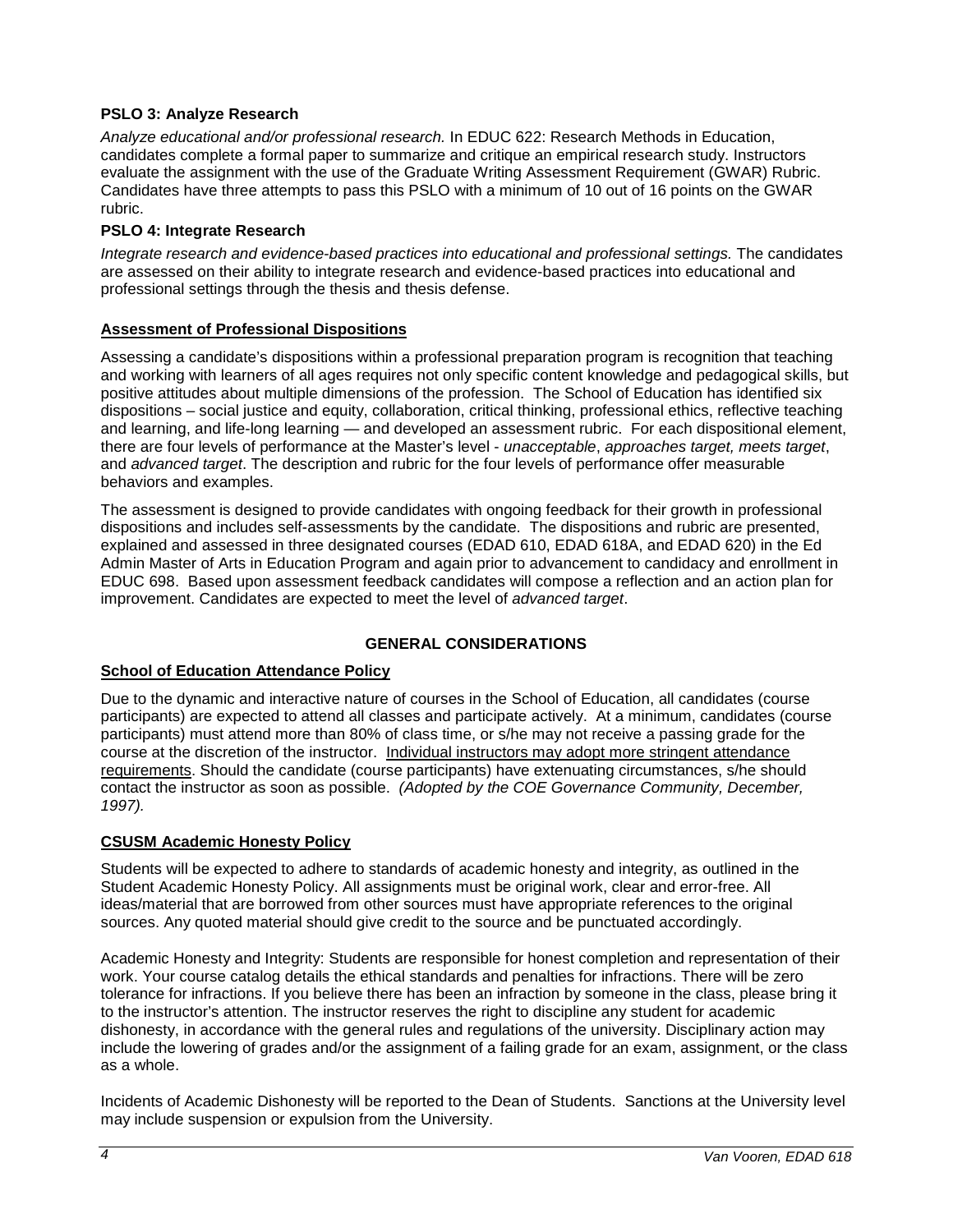## **PSLO 3: Analyze Research**

*Analyze educational and/or professional research.* In EDUC 622: Research Methods in Education, candidates complete a formal paper to summarize and critique an empirical research study. Instructors evaluate the assignment with the use of the Graduate Writing Assessment Requirement (GWAR) Rubric. Candidates have three attempts to pass this PSLO with a minimum of 10 out of 16 points on the GWAR rubric.

### **PSLO 4: Integrate Research**

*Integrate research and evidence-based practices into educational and professional settings.* The candidates are assessed on their ability to integrate research and evidence-based practices into educational and professional settings through the thesis and thesis defense.

### **Assessment of Professional Dispositions**

Assessing a candidate's dispositions within a professional preparation program is recognition that teaching and working with learners of all ages requires not only specific content knowledge and pedagogical skills, but positive attitudes about multiple dimensions of the profession. The School of Education has identified six dispositions – social justice and equity, collaboration, critical thinking, professional ethics, reflective teaching and learning, and life-long learning — and developed an assessment rubric. For each dispositional element, there are four levels of performance at the Master's level - *unacceptable*, *approaches target, meets target*, and *advanced target*. The description and rubric for the four levels of performance offer measurable behaviors and examples.

The assessment is designed to provide candidates with ongoing feedback for their growth in professional dispositions and includes self-assessments by the candidate. The dispositions and rubric are presented, explained and assessed in three designated courses (EDAD 610, EDAD 618A, and EDAD 620) in the Ed Admin Master of Arts in Education Program and again prior to advancement to candidacy and enrollment in EDUC 698. Based upon assessment feedback candidates will compose a reflection and an action plan for improvement. Candidates are expected to meet the level of *advanced target*.

### **GENERAL CONSIDERATIONS**

### **School of Education Attendance Policy**

Due to the dynamic and interactive nature of courses in the School of Education, all candidates (course participants) are expected to attend all classes and participate actively. At a minimum, candidates (course participants) must attend more than 80% of class time, or s/he may not receive a passing grade for the course at the discretion of the instructor. Individual instructors may adopt more stringent attendance requirements. Should the candidate (course participants) have extenuating circumstances, s/he should contact the instructor as soon as possible. *(Adopted by the COE Governance Community, December, 1997).*

### **CSUSM Academic Honesty Policy**

Students will be expected to adhere to standards of academic honesty and integrity, as outlined in the Student Academic Honesty Policy. All assignments must be original work, clear and error-free. All ideas/material that are borrowed from other sources must have appropriate references to the original sources. Any quoted material should give credit to the source and be punctuated accordingly.

Academic Honesty and Integrity: Students are responsible for honest completion and representation of their work. Your course catalog details the ethical standards and penalties for infractions. There will be zero tolerance for infractions. If you believe there has been an infraction by someone in the class, please bring it to the instructor's attention. The instructor reserves the right to discipline any student for academic dishonesty, in accordance with the general rules and regulations of the university. Disciplinary action may include the lowering of grades and/or the assignment of a failing grade for an exam, assignment, or the class as a whole.

Incidents of Academic Dishonesty will be reported to the Dean of Students. Sanctions at the University level may include suspension or expulsion from the University.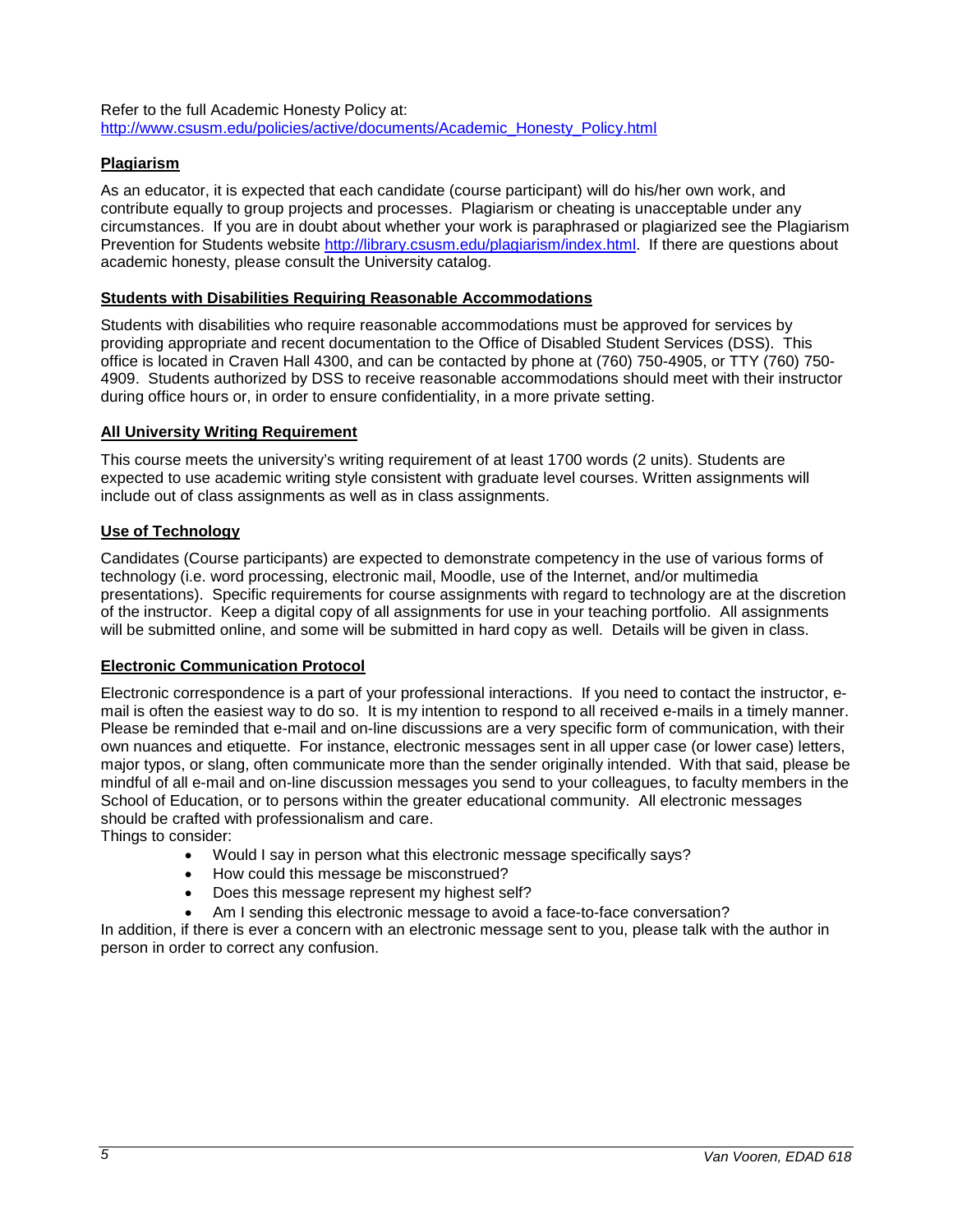Refer to the full Academic Honesty Policy at: [http://www.csusm.edu/policies/active/documents/Academic\\_Honesty\\_Policy.html](http://www.csusm.edu/policies/active/documents/Academic_Honesty_Policy.html)

# **Plagiarism**

As an educator, it is expected that each candidate (course participant) will do his/her own work, and contribute equally to group projects and processes. Plagiarism or cheating is unacceptable under any circumstances. If you are in doubt about whether your work is paraphrased or plagiarized see the Plagiarism Prevention for Students website [http://library.csusm.edu/plagiarism/index.html.](http://library.csusm.edu/plagiarism/index.html) If there are questions about academic honesty, please consult the University catalog.

#### **Students with Disabilities Requiring Reasonable Accommodations**

Students with disabilities who require reasonable accommodations must be approved for services by providing appropriate and recent documentation to the Office of Disabled Student Services (DSS). This office is located in Craven Hall 4300, and can be contacted by phone at (760) 750-4905, or TTY (760) 750- 4909. Students authorized by DSS to receive reasonable accommodations should meet with their instructor during office hours or, in order to ensure confidentiality, in a more private setting.

### **All University Writing Requirement**

This course meets the university's writing requirement of at least 1700 words (2 units). Students are expected to use academic writing style consistent with graduate level courses. Written assignments will include out of class assignments as well as in class assignments.

### **Use of Technology**

Candidates (Course participants) are expected to demonstrate competency in the use of various forms of technology (i.e. word processing, electronic mail, Moodle, use of the Internet, and/or multimedia presentations). Specific requirements for course assignments with regard to technology are at the discretion of the instructor. Keep a digital copy of all assignments for use in your teaching portfolio. All assignments will be submitted online, and some will be submitted in hard copy as well. Details will be given in class.

#### **Electronic Communication Protocol**

Electronic correspondence is a part of your professional interactions. If you need to contact the instructor, email is often the easiest way to do so. It is my intention to respond to all received e-mails in a timely manner. Please be reminded that e-mail and on-line discussions are a very specific form of communication, with their own nuances and etiquette. For instance, electronic messages sent in all upper case (or lower case) letters, major typos, or slang, often communicate more than the sender originally intended. With that said, please be mindful of all e-mail and on-line discussion messages you send to your colleagues, to faculty members in the School of Education, or to persons within the greater educational community. All electronic messages should be crafted with professionalism and care.

Things to consider:

- Would I say in person what this electronic message specifically says?
- How could this message be misconstrued?
- Does this message represent my highest self?
- Am I sending this electronic message to avoid a face-to-face conversation?

In addition, if there is ever a concern with an electronic message sent to you, please talk with the author in person in order to correct any confusion.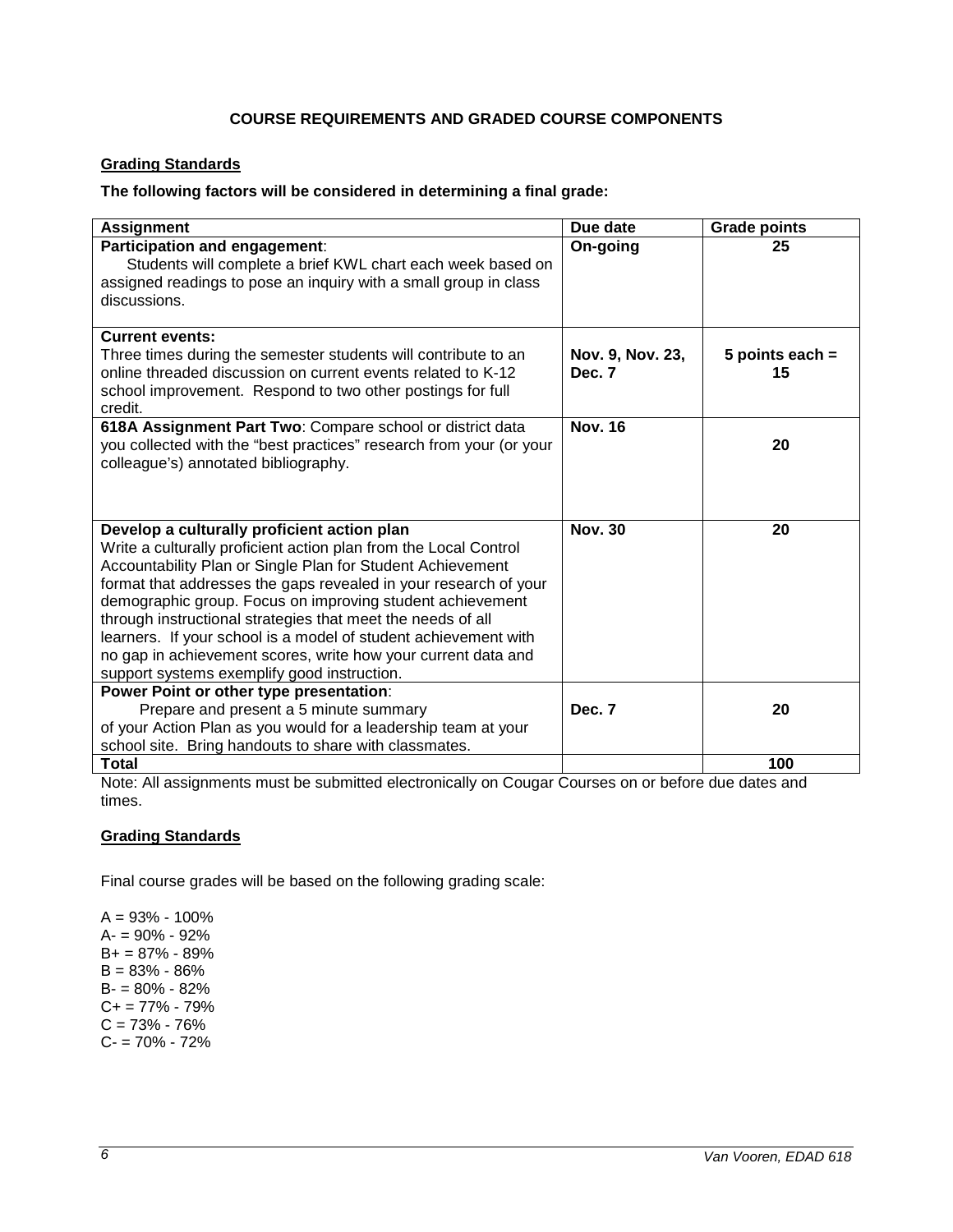# **COURSE REQUIREMENTS AND GRADED COURSE COMPONENTS**

### **Grading Standards**

#### **The following factors will be considered in determining a final grade:**

| <b>Assignment</b>                                                                                                                                                                                                                                                                                                                                                                                                                                                                                                                                                | Due date                   | <b>Grade points</b>     |
|------------------------------------------------------------------------------------------------------------------------------------------------------------------------------------------------------------------------------------------------------------------------------------------------------------------------------------------------------------------------------------------------------------------------------------------------------------------------------------------------------------------------------------------------------------------|----------------------------|-------------------------|
| Participation and engagement:<br>Students will complete a brief KWL chart each week based on<br>assigned readings to pose an inquiry with a small group in class<br>discussions.                                                                                                                                                                                                                                                                                                                                                                                 | On-going                   | 25                      |
| <b>Current events:</b><br>Three times during the semester students will contribute to an<br>online threaded discussion on current events related to K-12<br>school improvement. Respond to two other postings for full<br>credit.                                                                                                                                                                                                                                                                                                                                | Nov. 9, Nov. 23,<br>Dec. 7 | 5 points each $=$<br>15 |
| 618A Assignment Part Two: Compare school or district data<br>you collected with the "best practices" research from your (or your<br>colleague's) annotated bibliography.                                                                                                                                                                                                                                                                                                                                                                                         | <b>Nov. 16</b>             | 20                      |
| Develop a culturally proficient action plan<br>Write a culturally proficient action plan from the Local Control<br>Accountability Plan or Single Plan for Student Achievement<br>format that addresses the gaps revealed in your research of your<br>demographic group. Focus on improving student achievement<br>through instructional strategies that meet the needs of all<br>learners. If your school is a model of student achievement with<br>no gap in achievement scores, write how your current data and<br>support systems exemplify good instruction. | <b>Nov. 30</b>             | 20                      |
| Power Point or other type presentation:<br>Prepare and present a 5 minute summary<br>of your Action Plan as you would for a leadership team at your<br>school site. Bring handouts to share with classmates.                                                                                                                                                                                                                                                                                                                                                     | Dec. 7                     | 20                      |
| <b>Total</b>                                                                                                                                                                                                                                                                                                                                                                                                                                                                                                                                                     |                            | 100                     |

Note: All assignments must be submitted electronically on Cougar Courses on or before due dates and times.

### **Grading Standards**

Final course grades will be based on the following grading scale:

 $A = 93% - 100%$ A- = 90% - 92% B+ = 87% - 89% B = 83% - 86% B- = 80% - 82%  $C+= 77\% - 79\%$  $C = 73% - 76%$  $C - 70\% - 72\%$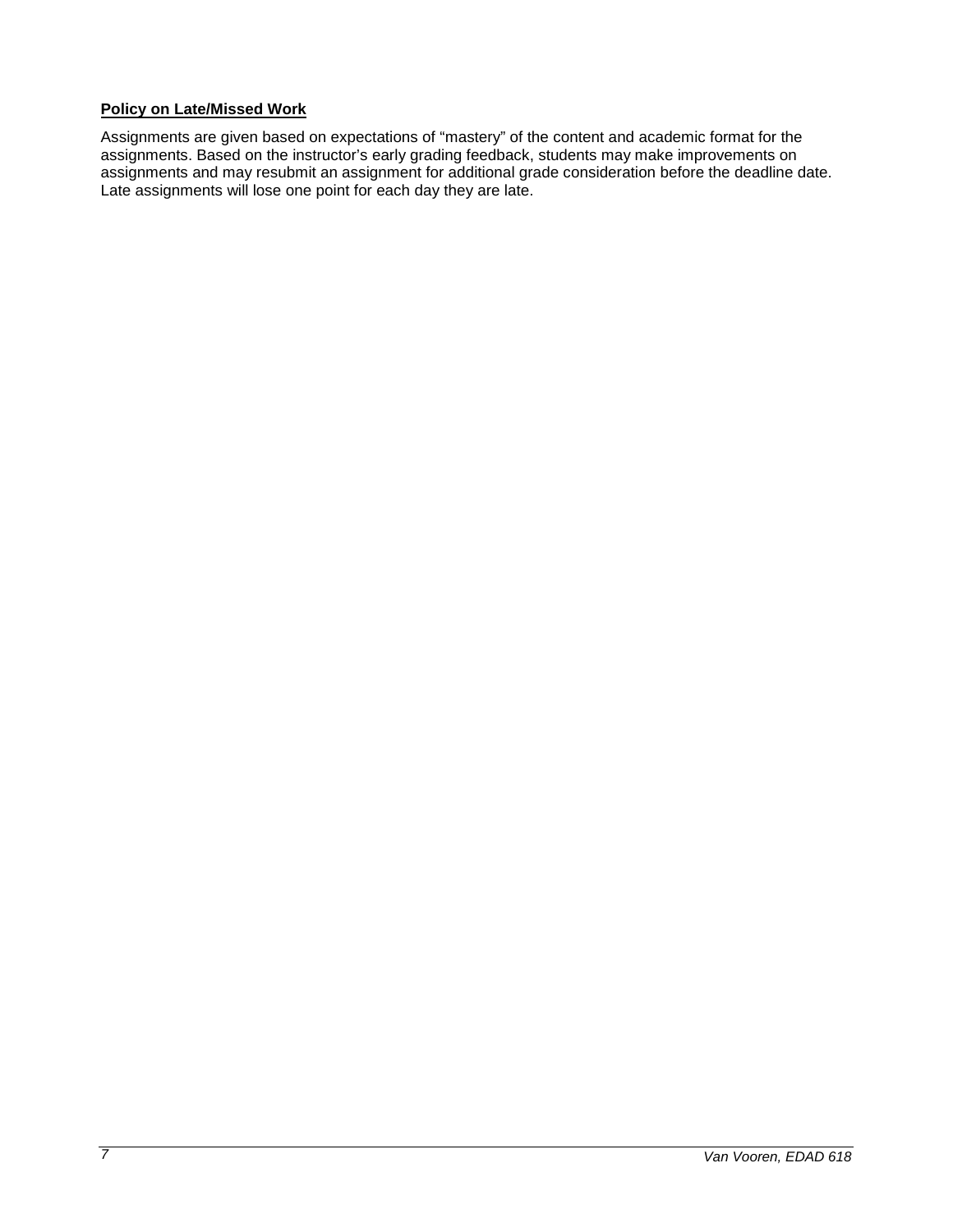## **Policy on Late/Missed Work**

Assignments are given based on expectations of "mastery" of the content and academic format for the assignments. Based on the instructor's early grading feedback, students may make improvements on assignments and may resubmit an assignment for additional grade consideration before the deadline date. Late assignments will lose one point for each day they are late.